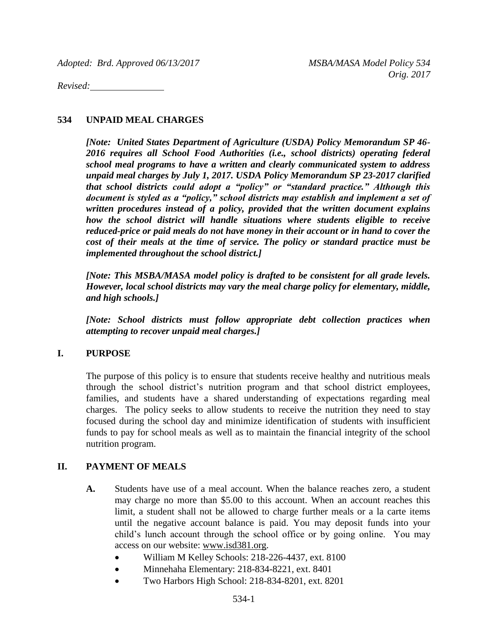*Adopted: Brd. Approved 06/13/2017 MSBA/MASA Model Policy 534*

*Revised:* 

#### **534 UNPAID MEAL CHARGES**

*[Note: United States Department of Agriculture (USDA) Policy Memorandum SP 46- 2016 requires all School Food Authorities (i.e., school districts) operating federal school meal programs to have a written and clearly communicated system to address unpaid meal charges by July 1, 2017. USDA Policy Memorandum SP 23-2017 clarified that school districts could adopt a "policy" or "standard practice." Although this document is styled as a "policy," school districts may establish and implement a set of written procedures instead of a policy, provided that the written document explains how the school district will handle situations where students eligible to receive reduced-price or paid meals do not have money in their account or in hand to cover the cost of their meals at the time of service. The policy or standard practice must be implemented throughout the school district.]*

*[Note: This MSBA/MASA model policy is drafted to be consistent for all grade levels. However, local school districts may vary the meal charge policy for elementary, middle, and high schools.]*

*[Note: School districts must follow appropriate debt collection practices when attempting to recover unpaid meal charges.]*

### **I. PURPOSE**

The purpose of this policy is to ensure that students receive healthy and nutritious meals through the school district's nutrition program and that school district employees, families, and students have a shared understanding of expectations regarding meal charges. The policy seeks to allow students to receive the nutrition they need to stay focused during the school day and minimize identification of students with insufficient funds to pay for school meals as well as to maintain the financial integrity of the school nutrition program.

### **II. PAYMENT OF MEALS**

- **A.** Students have use of a meal account. When the balance reaches zero, a student may charge no more than \$5.00 to this account. When an account reaches this limit, a student shall not be allowed to charge further meals or a la carte items until the negative account balance is paid. You may deposit funds into your child's lunch account through the school office or by going online. You may access on our website: [www.isd381.org.](http://www.isd381.org/)
	- William M Kelley Schools: 218-226-4437, ext. 8100
	- Minnehaha Elementary: 218-834-8221, ext. 8401
	- Two Harbors High School: 218-834-8201, ext. 8201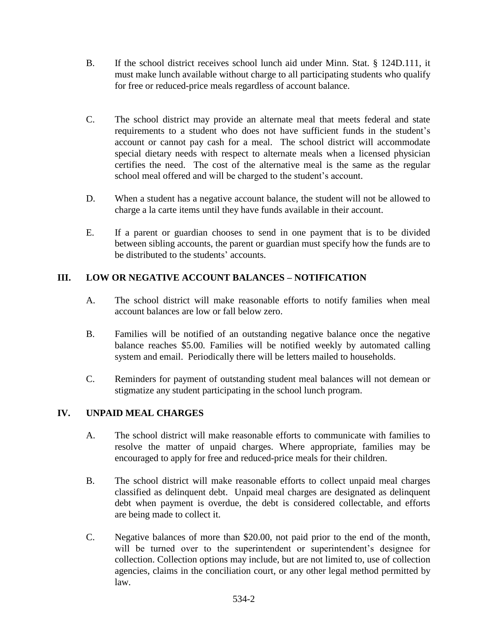- B. If the school district receives school lunch aid under Minn. Stat. § 124D.111, it must make lunch available without charge to all participating students who qualify for free or reduced-price meals regardless of account balance.
- C. The school district may provide an alternate meal that meets federal and state requirements to a student who does not have sufficient funds in the student's account or cannot pay cash for a meal. The school district will accommodate special dietary needs with respect to alternate meals when a licensed physician certifies the need. The cost of the alternative meal is the same as the regular school meal offered and will be charged to the student's account.
- D. When a student has a negative account balance, the student will not be allowed to charge a la carte items until they have funds available in their account.
- E. If a parent or guardian chooses to send in one payment that is to be divided between sibling accounts, the parent or guardian must specify how the funds are to be distributed to the students' accounts.

# **III. LOW OR NEGATIVE ACCOUNT BALANCES – NOTIFICATION**

- A. The school district will make reasonable efforts to notify families when meal account balances are low or fall below zero.
- B. Families will be notified of an outstanding negative balance once the negative balance reaches \$5.00*.* Families will be notified weekly by automated calling system and email. Periodically there will be letters mailed to households.
- C. Reminders for payment of outstanding student meal balances will not demean or stigmatize any student participating in the school lunch program.

## **IV. UNPAID MEAL CHARGES**

- A. The school district will make reasonable efforts to communicate with families to resolve the matter of unpaid charges. Where appropriate, families may be encouraged to apply for free and reduced-price meals for their children.
- B. The school district will make reasonable efforts to collect unpaid meal charges classified as delinquent debt. Unpaid meal charges are designated as delinquent debt when payment is overdue, the debt is considered collectable, and efforts are being made to collect it.
- C. Negative balances of more than \$20.00, not paid prior to the end of the month, will be turned over to the superintendent or superintendent's designee for collection. Collection options may include, but are not limited to, use of collection agencies, claims in the conciliation court, or any other legal method permitted by law.